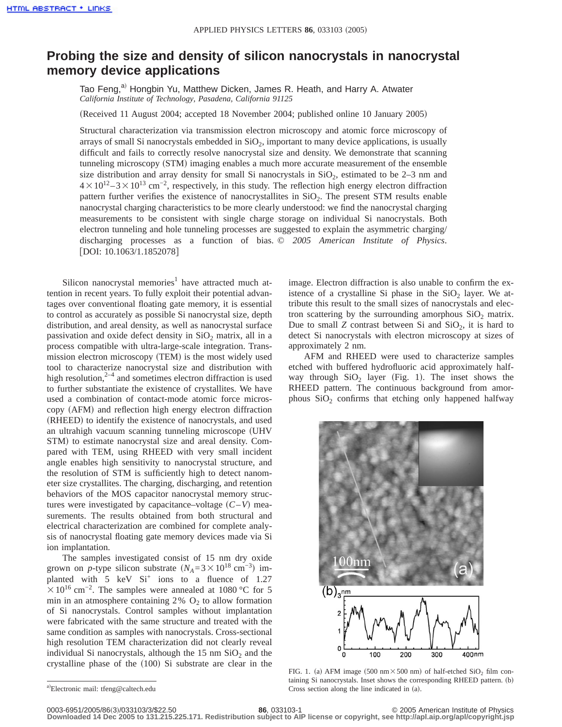## **Probing the size and density of silicon nanocrystals in nanocrystal memory device applications**

Tao Feng,<sup>a)</sup> Hongbin Yu, Matthew Dicken, James R. Heath, and Harry A. Atwater *California Institute of Technology, Pasadena, California 91125*

(Received 11 August 2004; accepted 18 November 2004; published online 10 January 2005)

Structural characterization via transmission electron microscopy and atomic force microscopy of arrays of small Si nanocrystals embedded in  $SiO<sub>2</sub>$ , important to many device applications, is usually difficult and fails to correctly resolve nanocrystal size and density. We demonstrate that scanning tunneling microscopy (STM) imaging enables a much more accurate measurement of the ensemble size distribution and array density for small Si nanocrystals in  $SiO<sub>2</sub>$ , estimated to be 2–3 nm and  $4 \times 10^{12} - 3 \times 10^{13}$  cm<sup>-2</sup>, respectively, in this study. The reflection high energy electron diffraction pattern further verifies the existence of nanocrystallites in  $SiO<sub>2</sub>$ . The present STM results enable nanocrystal charging characteristics to be more clearly understood: we find the nanocrystal charging measurements to be consistent with single charge storage on individual Si nanocrystals. Both electron tunneling and hole tunneling processes are suggested to explain the asymmetric charging/ discharging processes as a function of bias. © *2005 American Institute of Physics*. [DOI: 10.1063/1.1852078]

Silicon nanocrystal memories<sup>1</sup> have attracted much attention in recent years. To fully exploit their potential advantages over conventional floating gate memory, it is essential to control as accurately as possible Si nanocrystal size, depth distribution, and areal density, as well as nanocrystal surface passivation and oxide defect density in  $SiO<sub>2</sub>$  matrix, all in a process compatible with ultra-large-scale integration. Transmission electron microscopy (TEM) is the most widely used tool to characterize nanocrystal size and distribution with high resolution,<sup>2–4</sup> and sometimes electron diffraction is used to further substantiate the existence of crystallites. We have used a combination of contact-mode atomic force microscopy (AFM) and reflection high energy electron diffraction (RHEED) to identify the existence of nanocrystals, and used an ultrahigh vacuum scanning tunneling microscope (UHV) STM) to estimate nanocrystal size and areal density. Compared with TEM, using RHEED with very small incident angle enables high sensitivity to nanocrystal structure, and the resolution of STM is sufficiently high to detect nanometer size crystallites. The charging, discharging, and retention behaviors of the MOS capacitor nanocrystal memory structures were investigated by capacitance–voltage  $(C-V)$  measurements. The results obtained from both structural and electrical characterization are combined for complete analysis of nanocrystal floating gate memory devices made via Si ion implantation.

The samples investigated consist of 15 nm dry oxide grown on *p*-type silicon substrate  $(N_A=3\times10^{18} \text{ cm}^{-3})$  implanted with  $5 \text{ keV}$   $\text{Si}^+$  ions to a fluence of 1.27  $\times$ 10<sup>16</sup> cm<sup>-2</sup>. The samples were annealed at 1080 °C for 5 min in an atmosphere containing  $2\%$  O<sub>2</sub> to allow formation of Si nanocrystals. Control samples without implantation were fabricated with the same structure and treated with the same condition as samples with nanocrystals. Cross-sectional high resolution TEM characterization did not clearly reveal individual Si nanocrystals, although the  $15 \text{ nm } \text{SiO}_2$  and the crystalline phase of the  $(100)$  Si substrate are clear in the

a)Electronic mail: tfeng@caltech.edu

image. Electron diffraction is also unable to confirm the existence of a crystalline Si phase in the  $SiO<sub>2</sub>$  layer. We attribute this result to the small sizes of nanocrystals and electron scattering by the surrounding amorphous  $SiO<sub>2</sub>$  matrix. Due to small *Z* contrast between Si and  $SiO<sub>2</sub>$ , it is hard to detect Si nanocrystals with electron microscopy at sizes of approximately 2 nm.

AFM and RHEED were used to characterize samples etched with buffered hydrofluoric acid approximately halfway through  $SiO<sub>2</sub>$  layer (Fig. 1). The inset shows the RHEED pattern. The continuous background from amorphous  $SiO<sub>2</sub>$  confirms that etching only happened halfway



FIG. 1. (a) AFM image (500 nm $\times$ 500 nm) of half-etched SiO<sub>2</sub> film containing Si nanocrystals. Inset shows the corresponding RHEED pattern. (b) Cross section along the line indicated in  $(a)$ .

0003-6951/2005/86(3)/033103/12/2005/86(3)/033103/3/\$22.50 86, 033103-1<br>Downloaded 14 Dec 2005 to 131.215.225.171. Redistribution subject to AIP license or copyright, see http://apl.aip.org/apl/copyright.jsp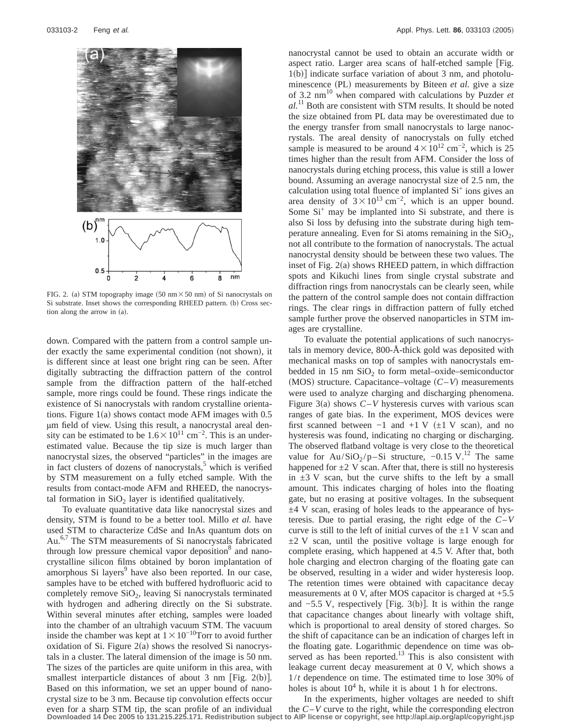

FIG. 2. (a) STM topography image (50 nm $\times$ 50 nm) of Si nanocrystals on Si substrate. Inset shows the corresponding RHEED pattern. (b) Cross section along the arrow in (a).

down. Compared with the pattern from a control sample under exactly the same experimental condition (not shown), it is different since at least one bright ring can be seen. After digitally subtracting the diffraction pattern of the control sample from the diffraction pattern of the half-etched sample, more rings could be found. These rings indicate the existence of Si nanocrystals with random crystalline orientations. Figure  $1(a)$  shows contact mode AFM images with 0.5 µm field of view. Using this result, a nanocrystal areal density can be estimated to be  $1.6\times10^{11}$  cm<sup>-2</sup>. This is an underestimated value. Because the tip size is much larger than nanocrystal sizes, the observed "particles" in the images are in fact clusters of dozens of nanocrystals,<sup>5</sup> which is verified by STM measurement on a fully etched sample. With the results from contact-mode AFM and RHEED, the nanocrystal formation in  $SiO<sub>2</sub>$  layer is identified qualitatively.

To evaluate quantitative data like nanocrystal sizes and density, STM is found to be a better tool. Millo *et al.* have used STM to characterize CdSe and InAs quantum dots on Au.<sup>6,7</sup> The STM measurements of Si nanocrystals fabricated through low pressure chemical vapor deposition<sup>8</sup> and nanocrystalline silicon films obtained by boron implantation of amorphous Si layers<sup>9</sup> have also been reported. In our case, samples have to be etched with buffered hydrofluoric acid to completely remove  $SiO<sub>2</sub>$ , leaving Si nanocrystals terminated with hydrogen and adhering directly on the Si substrate. Within several minutes after etching, samples were loaded into the chamber of an ultrahigh vacuum STM. The vacuum inside the chamber was kept at  $1 \times 10^{-10}$ Torr to avoid further oxidation of Si. Figure  $2(a)$  shows the resolved Si nanocrystals in a cluster. The lateral dimension of the image is 50 nm. The sizes of the particles are quite uniform in this area, with smallest interparticle distances of about 3 nm [Fig.  $2(b)$ ]. Based on this information, we set an upper bound of nanocrystal size to be 3 nm. Because tip convolution effects occur even for a sharp STM tip, the scan profile of an individual

nanocrystal cannot be used to obtain an accurate width or aspect ratio. Larger area scans of half-etched sample [Fig.  $1(b)$ ] indicate surface variation of about 3 nm, and photoluminescence (PL) measurements by Biteen *et al.* give a size of 3.2 nm10 when compared with calculations by Puzder *et al.*<sup>11</sup> Both are consistent with STM results. It should be noted the size obtained from PL data may be overestimated due to the energy transfer from small nanocrystals to large nanocrystals. The areal density of nanocrystals on fully etched sample is measured to be around  $4 \times 10^{12}$  cm<sup>-2</sup>, which is 25 times higher than the result from AFM. Consider the loss of nanocrystals during etching process, this value is still a lower bound. Assuming an average nanocrystal size of 2.5 nm, the calculation using total fluence of implanted  $Si<sup>+</sup>$  ions gives an area density of  $3 \times 10^{13}$  cm<sup>-2</sup>, which is an upper bound. Some  $Si<sup>+</sup>$  may be implanted into Si substrate, and there is also Si loss by defusing into the substrate during high temperature annealing. Even for Si atoms remaining in the  $SiO<sub>2</sub>$ , not all contribute to the formation of nanocrystals. The actual nanocrystal density should be between these two values. The inset of Fig.  $2(a)$  shows RHEED pattern, in which diffraction spots and Kikuchi lines from single crystal substrate and diffraction rings from nanocrystals can be clearly seen, while the pattern of the control sample does not contain diffraction rings. The clear rings in diffraction pattern of fully etched sample further prove the observed nanoparticles in STM images are crystalline.

To evaluate the potential applications of such nanocrystals in memory device, 800-Å-thick gold was deposited with mechanical masks on top of samples with nanocrystals embedded in 15 nm  $SiO<sub>2</sub>$  to form metal–oxide–semiconductor (MOS) structure. Capacitance–voltage  $(C-V)$  measurements were used to analyze charging and discharging phenomena. Figure  $3(a)$  shows  $C-V$  hysteresis curves with various scan ranges of gate bias. In the experiment, MOS devices were first scanned between  $-1$  and  $+1$  V  $(\pm 1$  V scan), and no hysteresis was found, indicating no charging or discharging. The observed flatband voltage is very close to the theoretical value for  $Au/SiO_2/p-Si$  structure, -0.15 V.<sup>12</sup> The same happened for  $\pm 2$  V scan. After that, there is still no hysteresis in  $\pm 3$  V scan, but the curve shifts to the left by a small amount. This indicates charging of holes into the floating gate, but no erasing at positive voltages. In the subsequent ±4 V scan, erasing of holes leads to the appearance of hysteresis. Due to partial erasing, the right edge of the *C*–*V* curve is still to the left of initial curves of the  $\pm 1$  V scan and  $\pm$ 2 V scan, until the positive voltage is large enough for complete erasing, which happened at 4.5 V. After that, both hole charging and electron charging of the floating gate can be observed, resulting in a wider and wider hysteresis loop. The retention times were obtained with capacitance decay measurements at 0 V, after MOS capacitor is charged at +5.5 and  $-5.5$  V, respectively [Fig. 3(b)]. It is within the range that capacitance changes about linearly with voltage shift, which is proportional to areal density of stored charges. So the shift of capacitance can be an indication of charges left in the floating gate. Logarithmic dependence on time was observed as has been reported.<sup>13</sup> This is also consistent with leakage current decay measurement at 0 V, which shows a 1/*t* dependence on time. The estimated time to lose 30% of holes is about  $10<sup>4</sup>$  h, while it is about 1 h for electrons.

In the experiments, higher voltages are needed to shift the  $C-V$  curve to the right, while the corresponding electron **Downloaded 14 Dec 2005 to 131.215.225.171. Redistribution subject to AIP license or copyright, see http://apl.aip.org/apl/copyright.jsp**